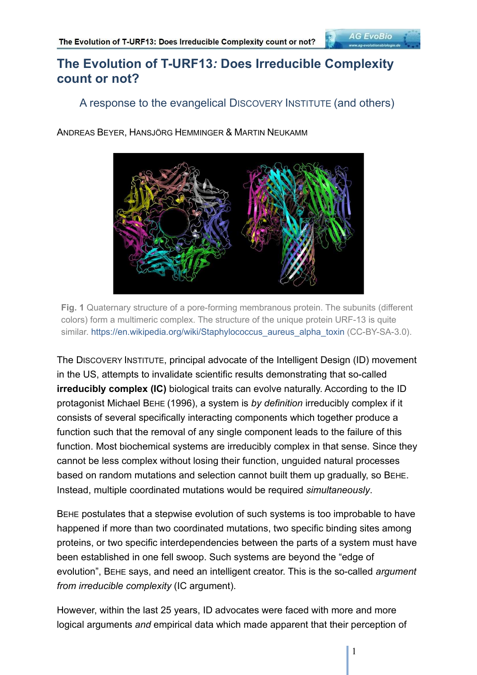#### A response to the evangelical DISCOVERY INSTITUTE (and others)

ANDREAS BEYER, HANSJÖRG HEMMINGER & MARTIN NEUKAMM



**Fig. 1** Quaternary structure of a pore-forming membranous protein. The subunits (different colors) form a multimeric complex. The structure of the unique protein URF-13 is quite similar. https://en.wikipedia.org/wiki/Staphylococcus\_aureus\_alpha\_toxin (CC-BY-SA-3.0).

The DISCOVERY INSTITUTE, principal advocate of the Intelligent Design (ID) movement in the US, attempts to invalidate scientific results demonstrating that so-called **irreducibly complex (IC)** biological traits can evolve naturally. According to the ID protagonist Michael BEHE (1996), a system is *by definition* irreducibly complex if it consists of several specifically interacting components which together produce a function such that the removal of any single component leads to the failure of this function. Most biochemical systems are irreducibly complex in that sense. Since they cannot be less complex without losing their function, unguided natural processes based on random mutations and selection cannot built them up gradually, so BEHE. Instead, multiple coordinated mutations would be required *simultaneously*.

BEHE postulates that a stepwise evolution of such systems is too improbable to have happened if more than two coordinated mutations, two specific binding sites among proteins, or two specific interdependencies between the parts of a system must have been established in one fell swoop. Such systems are beyond the "edge of evolution", BEHE says, and need an intelligent creator. This is the so-called *argument from irreducible complexity* (IC argument).

However, within the last 25 years, ID advocates were faced with more and more logical arguments *and* empirical data which made apparent that their perception of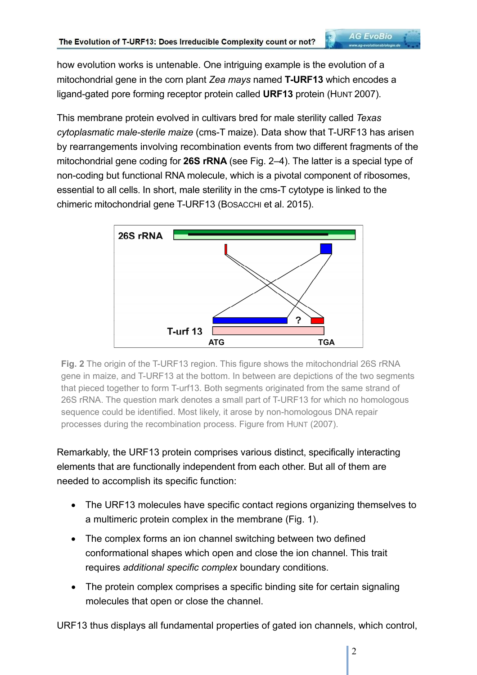how evolution works is untenable. One intriguing example is the evolution of a mitochondrial gene in the corn plant *Zea mays* named **T-URF13** which encodes a ligand-gated pore forming receptor protein called **URF13** protein (HUNT 2007).

This membrane protein evolved in cultivars bred for male sterility called *Texas cytoplasmatic male-sterile maize* (cms-T maize). Data show that T-URF13 has arisen by rearrangements involving recombination events from two different fragments of the mitochondrial gene coding for **26S rRNA** (see Fig. 2–4). The latter is a special type of non-coding but functional RNA molecule, which is a pivotal component of ribosomes, essential to all cells. In short, male sterility in the cms-T cytotype is linked to the chimeric mitochondrial gene T-URF13 (BOSACCHI et al. 2015).



**Fig. 2** The origin of the T-URF13 region. This figure shows the mitochondrial 26S rRNA gene in maize, and T-URF13 at the bottom. In between are depictions of the two segments that pieced together to form T-urf13. Both segments originated from the same strand of 26S rRNA. The question mark denotes a small part of T-URF13 for which no homologous sequence could be identified. Most likely, it arose by non-homologous DNA repair processes during the recombination process. Figure from HUNT (2007).

Remarkably, the URF13 protein comprises various distinct, specifically interacting elements that are functionally independent from each other. But all of them are needed to accomplish its specific function:

- The URF13 molecules have specific contact regions organizing themselves to a multimeric protein complex in the membrane (Fig. 1).
- The complex forms an ion channel switching between two defined conformational shapes which open and close the ion channel. This trait requires *additional specific complex* boundary conditions.
- The protein complex comprises a specific binding site for certain signaling molecules that open or close the channel.

URF13 thus displays all fundamental properties of gated ion channels, which control,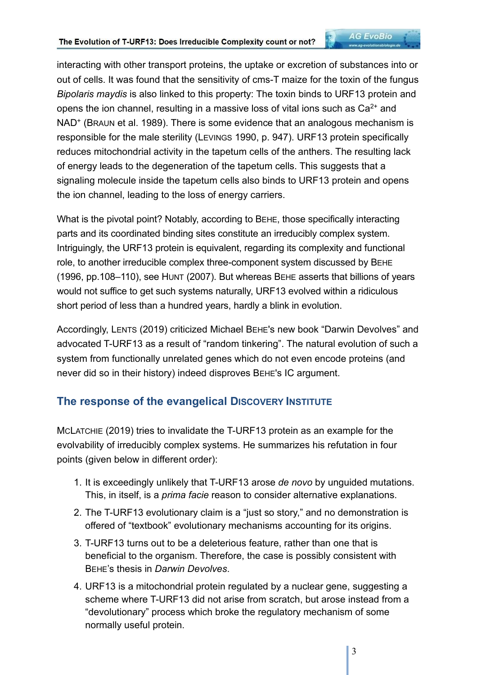interacting with other transport proteins, the uptake or excretion of substances into or out of cells. It was found that the sensitivity of cms-T maize for the toxin of the fungus *Bipolaris maydis* is also linked to this property: The toxin binds to URF13 protein and opens the ion channel, resulting in a massive loss of vital ions such as  $Ca<sup>2+</sup>$  and NAD<sup>+</sup> (BRAUN et al. 1989). There is some evidence that an analogous mechanism is responsible for the male sterility (LEVINGS 1990, p. 947). URF13 protein specifically reduces mitochondrial activity in the tapetum cells of the anthers. The resulting lack of energy leads to the degeneration of the tapetum cells. This suggests that a signaling molecule inside the tapetum cells also binds to URF13 protein and opens the ion channel, leading to the loss of energy carriers.

What is the pivotal point? Notably, according to BEHE, those specifically interacting parts and its coordinated binding sites constitute an irreducibly complex system. Intriguingly, the URF13 protein is equivalent, regarding its complexity and functional role, to another irreducible complex three-component system discussed by BEHE (1996, pp.108–110), see HUNT (2007). But whereas BEHE asserts that billions of years would not suffice to get such systems naturally, URF13 evolved within a ridiculous short period of less than a hundred years, hardly a blink in evolution.

Accordingly, LENTS (2019) criticized Michael BEHE's new book "Darwin Devolves" and advocated T-URF13 as a result of "random tinkering". The natural evolution of such a system from functionally unrelated genes which do not even encode proteins (and never did so in their history) indeed disproves BEHE's IC argument.

#### **The response of the evangelical DISCOVERY INSTITUTE**

MCLATCHIE (2019) tries to invalidate the T-URF13 protein as an example for the evolvability of irreducibly complex systems. He summarizes his refutation in four points (given below in different order):

- 1. It is exceedingly unlikely that T-URF13 arose *de novo* by unguided mutations. This, in itself, is a *prima facie* reason to consider alternative explanations.
- 2. The T-URF13 evolutionary claim is a "just so story," and no demonstration is offered of "textbook" evolutionary mechanisms accounting for its origins.
- 3. T-URF13 turns out to be a deleterious feature, rather than one that is beneficial to the organism. Therefore, the case is possibly consistent with BEHE's thesis in *Darwin Devolves*.
- 4. URF13 is a mitochondrial protein regulated by a nuclear gene, suggesting a scheme where T-URF13 did not arise from scratch, but arose instead from a "devolutionary" process which broke the regulatory mechanism of some normally useful protein.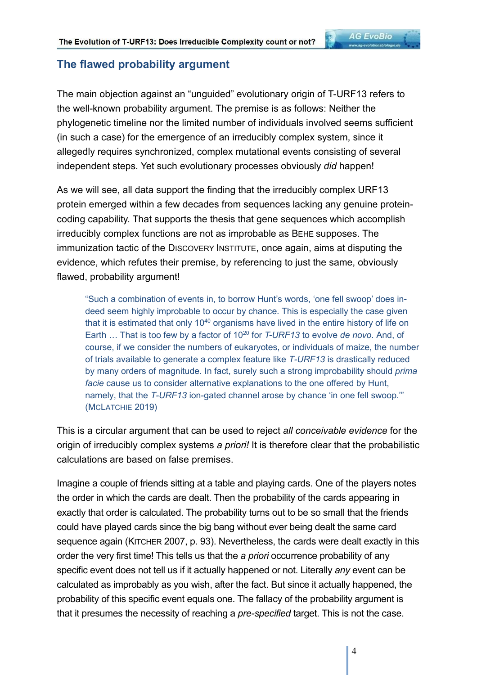### **The flawed probability argument**

The main objection against an "unguided" evolutionary origin of T-URF13 refers to the well-known probability argument. The premise is as follows: Neither the phylogenetic timeline nor the limited number of individuals involved seems sufficient (in such a case) for the emergence of an irreducibly complex system, since it allegedly requires synchronized, complex mutational events consisting of several independent steps. Yet such evolutionary processes obviously *did* happen!

As we will see, all data support the finding that the irreducibly complex URF13 protein emerged within a few decades from sequences lacking any genuine proteincoding capability. That supports the thesis that gene sequences which accomplish irreducibly complex functions are not as improbable as BEHE supposes. The immunization tactic of the DISCOVERY INSTITUTE, once again, aims at disputing the evidence, which refutes their premise, by referencing to just the same, obviously flawed, probability argument!

"Such a combination of events in, to borrow Hunt's words, 'one fell swoop' does indeed seem highly improbable to occur by chance. This is especially the case given that it is estimated that only  $10^{40}$  organisms have lived in the entire history of life on Earth … That is too few by a factor of 10<sup>20</sup> for *T-URF13* to evolve *de novo*. And, of course, if we consider the numbers of eukaryotes, or individuals of maize, the number of trials available to generate a complex feature like *T-URF13* is drastically reduced by many orders of magnitude. In fact, surely such a strong improbability should *prima facie* cause us to consider alternative explanations to the one offered by Hunt, namely, that the *T-URF13* ion-gated channel arose by chance 'in one fell swoop.'" (MCLATCHIE 2019)

This is a circular argument that can be used to reject *all conceivable evidence* for the origin of irreducibly complex systems *a priori!* It is therefore clear that the probabilistic calculations are based on false premises.

Imagine a couple of friends sitting at a table and playing cards. One of the players notes the order in which the cards are dealt. Then the probability of the cards appearing in exactly that order is calculated. The probability turns out to be so small that the friends could have played cards since the big bang without ever being dealt the same card sequence again (KITCHER 2007, p. 93). Nevertheless, the cards were dealt exactly in this order the very first time! This tells us that the *a priori* occurrence probability of any specific event does not tell us if it actually happened or not. Literally *any* event can be calculated as improbably as you wish, after the fact. But since it actually happened, the probability of this specific event equals one. The fallacy of the probability argument is that it presumes the necessity of reaching a *pre-specified* target. This is not the case.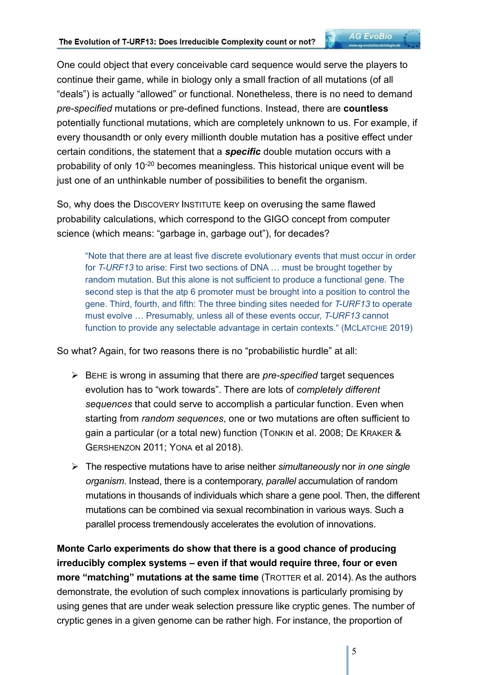One could object that every conceivable card sequence would serve the players to continue their game, while in biology only a small fraction of all mutations (of all "deals") is actually "allowed" or functional. Nonetheless, there is no need to demand *pre-specified* mutations or pre-defined functions. Instead, there are **countless** potentially functional mutations, which are completely unknown to us. For example, if every thousandth or only every millionth double mutation has a positive effect under certain conditions, the statement that a *specific* double mutation occurs with a probability of only 10-20 becomes meaningless. This historical unique event will be just one of an unthinkable number of possibilities to benefit the organism.

So, why does the DISCOVERY INSTITUTE keep on overusing the same flawed probability calculations, which correspond to the GIGO concept from computer science (which means: "garbage in, garbage out"), for decades?

"Note that there are at least five discrete evolutionary events that must occur in order for *T-URF13* to arise: First two sections of DNA … must be brought together by random mutation. But this alone is not sufficient to produce a functional gene. The second step is that the atp 6 promoter must be brought into a position to control the gene. Third, fourth, and fifth: The three binding sites needed for *T-URF13* to operate must evolve … Presumably, unless all of these events occur, *T-URF13* cannot function to provide any selectable advantage in certain contexts." (MCLATCHIE 2019)

So what? Again, for two reasons there is no "probabilistic hurdle" at all:

- BEHE is wrong in assuming that there are *pre-specified* target sequences evolution has to "work towards". There are lots of *completely different sequences* that could serve to accomplish a particular function. Even when starting from *random sequences*, one or two mutations are often sufficient to gain a particular (or a total new) function (TONKIN et al. 2008; DE KRAKER & GERSHENZON 2011; YONA et al 2018).
- The respective mutations have to arise neither *simultaneously* nor *in one single organism*. Instead, there is a contemporary, *parallel* accumulation of random mutations in thousands of individuals which share a gene pool. Then, the different mutations can be combined via sexual recombination in various ways. Such a parallel process tremendously accelerates the evolution of innovations.

**Monte Carlo experiments do show that there is a good chance of producing irreducibly complex systems – even if that would require three, four or even more "matching" mutations at the same time** (TROTTER et al. 2014). As the authors demonstrate, the evolution of such complex innovations is particularly promising by using genes that are under weak selection pressure like cryptic genes. The number of cryptic genes in a given genome can be rather high. For instance, the proportion of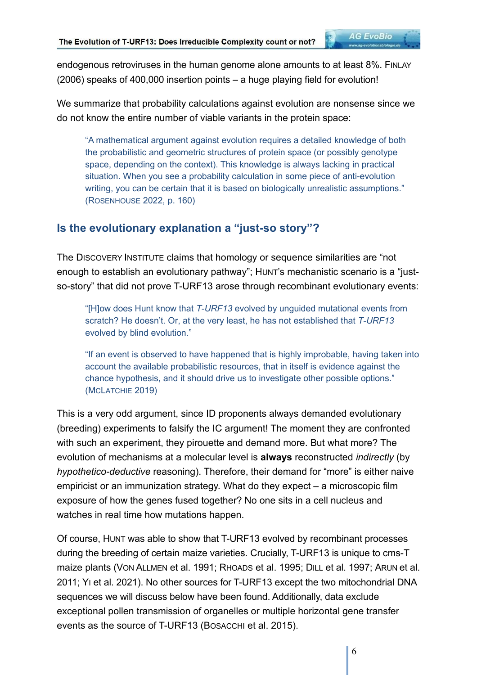endogenous retroviruses in the human genome alone amounts to at least 8%. FINLAY (2006) speaks of 400,000 insertion points – a huge playing field for evolution!

We summarize that probability calculations against evolution are nonsense since we do not know the entire number of viable variants in the protein space:

"A mathematical argument against evolution requires a detailed knowledge of both the probabilistic and geometric structures of protein space (or possibly genotype space, depending on the context). This knowledge is always lacking in practical situation. When you see a probability calculation in some piece of anti-evolution writing, you can be certain that it is based on biologically unrealistic assumptions." (ROSENHOUSE 2022, p. 160)

# **Is the evolutionary explanation a "just-so story"?**

The DISCOVERY INSTITUTE claims that homology or sequence similarities are "not enough to establish an evolutionary pathway"; HUNT's mechanistic scenario is a "justso-story" that did not prove T-URF13 arose through recombinant evolutionary events:

"[H]ow does Hunt know that *T-URF13* evolved by unguided mutational events from scratch? He doesn't. Or, at the very least, he has not established that *T-URF13* evolved by blind evolution."

"If an event is observed to have happened that is highly improbable, having taken into account the available probabilistic resources, that in itself is evidence against the chance hypothesis, and it should drive us to investigate other possible options." (MCLATCHIE 2019)

This is a very odd argument, since ID proponents always demanded evolutionary (breeding) experiments to falsify the IC argument! The moment they are confronted with such an experiment, they pirouette and demand more. But what more? The evolution of mechanisms at a molecular level is **always** reconstructed *indirectly* (by *hypothetico-deductive* reasoning). Therefore, their demand for "more" is either naive empiricist or an immunization strategy. What do they expect – a microscopic film exposure of how the genes fused together? No one sits in a cell nucleus and watches in real time how mutations happen.

Of course, HUNT was able to show that T-URF13 evolved by recombinant processes during the breeding of certain maize varieties. Crucially, T-URF13 is unique to cms-T maize plants (VON ALLMEN et al. 1991; RHOADS et al. 1995; DILL et al. 1997; ARUN et al. 2011; YI et al. 2021). No other sources for T-URF13 except the two mitochondrial DNA sequences we will discuss below have been found. Additionally, data exclude exceptional pollen transmission of organelles or multiple horizontal gene transfer events as the source of T-URF13 (BOSACCHI et al. 2015).

6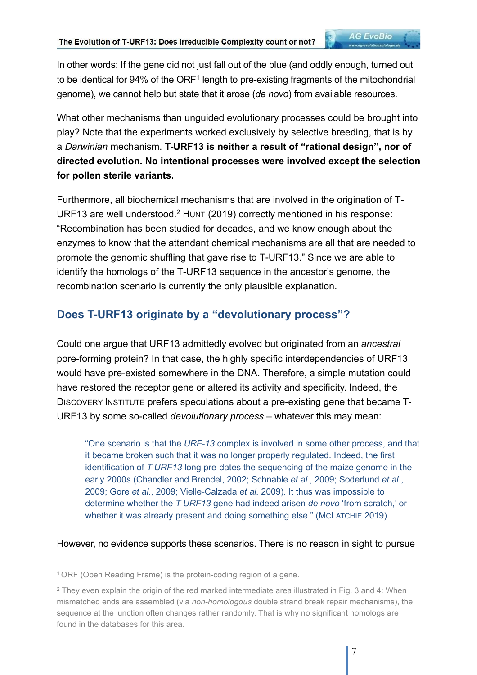**AG EvoBio** 

What other mechanisms than unguided evolutionary processes could be brought into play? Note that the experiments worked exclusively by selective breeding, that is by a *Darwinian* mechanism. **T-URF13 is neither a result of "rational design", nor of directed evolution. No intentional processes were involved except the selection for pollen sterile variants.**

Furthermore, all biochemical mechanisms that are involved in the origination of T-URF13 are well understood.<sup>2</sup> HUNT (2019) correctly mentioned in his response: "Recombination has been studied for decades, and we know enough about the enzymes to know that the attendant chemical mechanisms are all that are needed to promote the genomic shuffling that gave rise to T-URF13." Since we are able to identify the homologs of the T-URF13 sequence in the ancestor's genome, the recombination scenario is currently the only plausible explanation.

# **Does T-URF13 originate by a "devolutionary process"?**

Could one argue that URF13 admittedly evolved but originated from an *ancestral*  pore-forming protein? In that case, the highly specific interdependencies of URF13 would have pre-existed somewhere in the DNA. Therefore, a simple mutation could have restored the receptor gene or altered its activity and specificity. Indeed, the DISCOVERY INSTITUTE prefers speculations about a pre-existing gene that became T-URF13 by some so-called *devolutionary process –* whatever this may mean:

"One scenario is that the *URF-13* complex is involved in some other process, and that it became broken such that it was no longer properly regulated. Indeed, the first identification of *T-URF13* long pre-dates the sequencing of the maize genome in the early 2000s (Chandler and Brendel, 2002; Schnable *et al*., 2009; Soderlund *et al*., 2009; Gore *et al*., 2009; Vielle-Calzada *et al.* 2009). It thus was impossible to determine whether the *T-URF13* gene had indeed arisen *de novo* 'from scratch,' or whether it was already present and doing something else." (MCLATCHIE 2019)

However, no evidence supports these scenarios. There is no reason in sight to pursue

<sup>1</sup>ORF (Open Reading Frame) is the protein-coding region of a gene.

 $^2$  They even explain the origin of the red marked intermediate area illustrated in Fig. 3 and 4: When  $\,$ mismatched ends are assembled (via *non-homologous* double strand break repair mechanisms), the sequence at the junction often changes rather randomly. That is why no significant homologs are found in the databases for this area.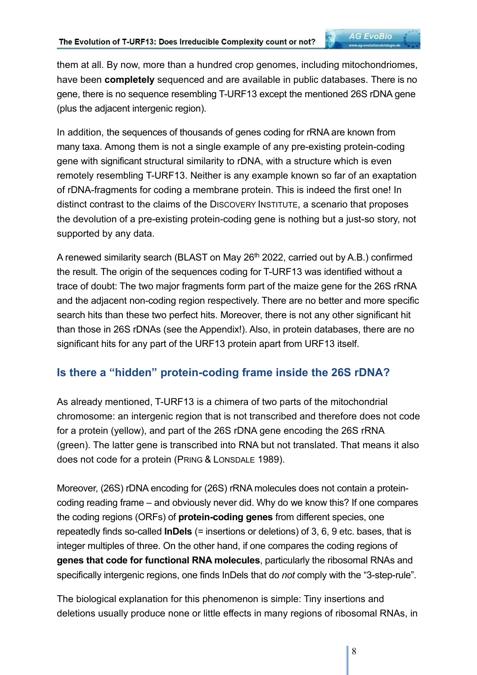them at all. By now, more than a hundred crop genomes, including mitochondriomes, have been **completely** sequenced and are available in public databases. There is no gene, there is no sequence resembling T-URF13 except the mentioned 26S rDNA gene (plus the adjacent intergenic region).

In addition, the sequences of thousands of genes coding for rRNA are known from many taxa. Among them is not a single example of any pre-existing protein-coding gene with significant structural similarity to rDNA, with a structure which is even remotely resembling T-URF13. Neither is any example known so far of an exaptation of rDNA-fragments for coding a membrane protein. This is indeed the first one! In distinct contrast to the claims of the DISCOVERY INSTITUTE, a scenario that proposes the devolution of a pre-existing protein-coding gene is nothing but a just-so story, not supported by any data.

A renewed similarity search (BLAST on May 26<sup>th</sup> 2022, carried out by A.B.) confirmed the result. The origin of the sequences coding for T-URF13 was identified without a trace of doubt: The two major fragments form part of the maize gene for the 26S rRNA and the adjacent non-coding region respectively. There are no better and more specific search hits than these two perfect hits. Moreover, there is not any other significant hit than those in 26S rDNAs (see the Appendix!). Also, in protein databases, there are no significant hits for any part of the URF13 protein apart from URF13 itself.

#### **Is there a "hidden" protein-coding frame inside the 26S rDNA?**

As already mentioned, T-URF13 is a chimera of two parts of the mitochondrial chromosome: an intergenic region that is not transcribed and therefore does not code for a protein (yellow), and part of the 26S rDNA gene encoding the 26S rRNA (green). The latter gene is transcribed into RNA but not translated. That means it also does not code for a protein (PRING & LONSDALE 1989).

Moreover, (26S) rDNA encoding for (26S) rRNA molecules does not contain a proteincoding reading frame – and obviously never did. Why do we know this? If one compares the coding regions (ORFs) of **protein-coding genes** from different species, one repeatedly finds so-called **InDels** (= insertions or deletions) of 3, 6, 9 etc. bases, that is integer multiples of three. On the other hand, if one compares the coding regions of **genes that code for functional RNA molecules**, particularly the ribosomal RNAs and specifically intergenic regions, one finds InDels that do *not* comply with the "3-step-rule".

The biological explanation for this phenomenon is simple: Tiny insertions and deletions usually produce none or little effects in many regions of ribosomal RNAs, in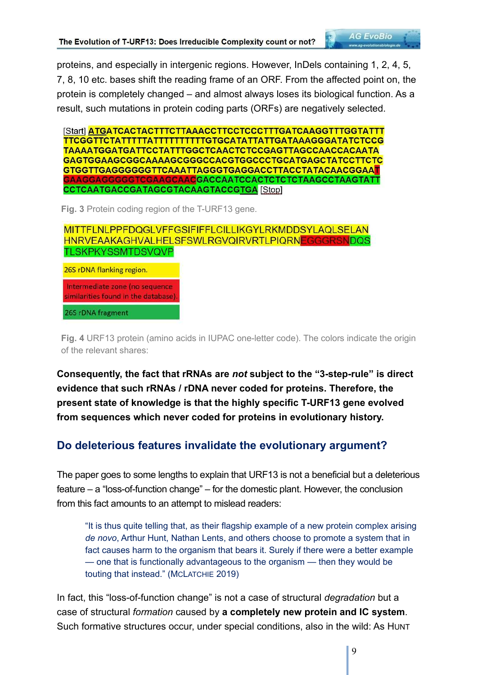proteins, and especially in intergenic regions. However, InDels containing 1, 2, 4, 5, 7, 8, 10 etc. bases shift the reading frame of an ORF. From the affected point on, the protein is completely changed – and almost always loses its biological function. As a result, such mutations in protein coding parts (ORFs) are negatively selected.

[Start] ATGATCACTACTTTCTTAAACCTTCCTCCCTTTGATCAAGGTTTGGTATTT TTCGGTTCTATTTTTATTTTTTTTTGTGCATATTATTGATAAAGGGATATCTCCG TAAAATGGATGATTCCTATTTGGCTCAACTCTCCGAGTTAGCCAACCACAATA GAGTGGAAGCGGCAAAAGCGGGCCACGTGGCCCTGCATGAGCTATCCTTCTC GTGGTTGAGGGGGGTTCAAATTAGGGTGAGGACCTTACCTATACAACGGAAT GAAGGAGGGGGTCGAAGCAAC<mark>GACCAATCCACTCTCTCTAAGCCTAAGTATT</mark> CCTCAATGACCGATAGCGTACAAGTACCGTGA [Stop]

**Fig. 3** Protein coding region of the T-URF13 gene.

MITTFLNLPPFDQGLVFFGSIFIFFLCILLIKGYLRKMDDSYLAQLSELAN HNRVEAAKAGHVALHELSFSWLRGVQIRVRTLPIQRNEGGGRSNDQS **TLSKPKYSSMTDSVQVP** 

26S rDNA flanking region.

Intermediate zone (no sequence) similarities found in the database)

26S rDNA fragment

**Fig. 4** URF13 protein (amino acids in IUPAC one-letter code). The colors indicate the origin of the relevant shares:

**Consequently, the fact that rRNAs are** *not* **subject to the "3-step-rule" is direct evidence that such rRNAs / rDNA never coded for proteins. Therefore, the present state of knowledge is that the highly specific T-URF13 gene evolved from sequences which never coded for proteins in evolutionary history.** 

### **Do deleterious features invalidate the evolutionary argument?**

The paper goes to some lengths to explain that URF13 is not a beneficial but a deleterious feature – a "loss-of-function change" – for the domestic plant. However, the conclusion from this fact amounts to an attempt to mislead readers:

"It is thus quite telling that, as their flagship example of a new protein complex arising *de novo*, Arthur Hunt, Nathan Lents, and others choose to promote a system that in fact causes harm to the organism that bears it. Surely if there were a better example — one that is functionally advantageous to the organism — then they would be touting that instead." (MCLATCHIE 2019)

In fact, this "loss-of-function change" is not a case of structural *degradation* but a case of structural *formation* caused by **a completely new protein and IC system**. Such formative structures occur, under special conditions, also in the wild: As HUNT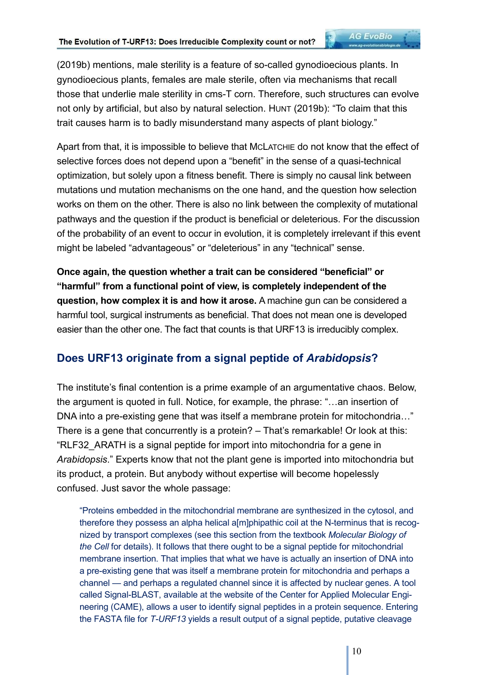(2019b) mentions, male sterility is a feature of so-called gynodioecious plants. In gynodioecious plants, females are male sterile, often via mechanisms that recall those that underlie male sterility in cms-T corn. Therefore, such structures can evolve not only by artificial, but also by natural selection. HUNT (2019b): "To claim that this trait causes harm is to badly misunderstand many aspects of plant biology."

Apart from that, it is impossible to believe that MCLATCHIE do not know that the effect of selective forces does not depend upon a "benefit" in the sense of a quasi-technical optimization, but solely upon a fitness benefit. There is simply no causal link between mutations und mutation mechanisms on the one hand, and the question how selection works on them on the other. There is also no link between the complexity of mutational pathways and the question if the product is beneficial or deleterious. For the discussion of the probability of an event to occur in evolution, it is completely irrelevant if this event might be labeled "advantageous" or "deleterious" in any "technical" sense.

**Once again, the question whether a trait can be considered "beneficial" or "harmful" from a functional point of view, is completely independent of the question, how complex it is and how it arose.** A machine gun can be considered a harmful tool, surgical instruments as beneficial. That does not mean one is developed easier than the other one. The fact that counts is that URF13 is irreducibly complex.

### **Does URF13 originate from a signal peptide of** *Arabidopsis***?**

The institute's final contention is a prime example of an argumentative chaos. Below, the argument is quoted in full. Notice, for example, the phrase: "…an insertion of DNA into a pre-existing gene that was itself a membrane protein for mitochondria…" There is a gene that concurrently is a protein? – That's remarkable! Or look at this: "RLF32\_ARATH is a signal peptide for import into mitochondria for a gene in *Arabidopsis*." Experts know that not the plant gene is imported into mitochondria but its product, a protein. But anybody without expertise will become hopelessly confused. Just savor the whole passage:

"Proteins embedded in the mitochondrial membrane are synthesized in the cytosol, and therefore they possess an alpha helical a[m]phipathic coil at the N-terminus that is recognized by transport complexes (see this section from the textbook *Molecular Biology of the Cell* for details). It follows that there ought to be a signal peptide for mitochondrial membrane insertion. That implies that what we have is actually an insertion of DNA into a pre-existing gene that was itself a membrane protein for mitochondria and perhaps a channel — and perhaps a regulated channel since it is affected by nuclear genes. A tool called Signal-BLAST, available at the website of the Center for Applied Molecular Engineering (CAME), allows a user to identify signal peptides in a protein sequence. Entering the FASTA file for *T-URF13* yields a result output of a signal peptide, putative cleavage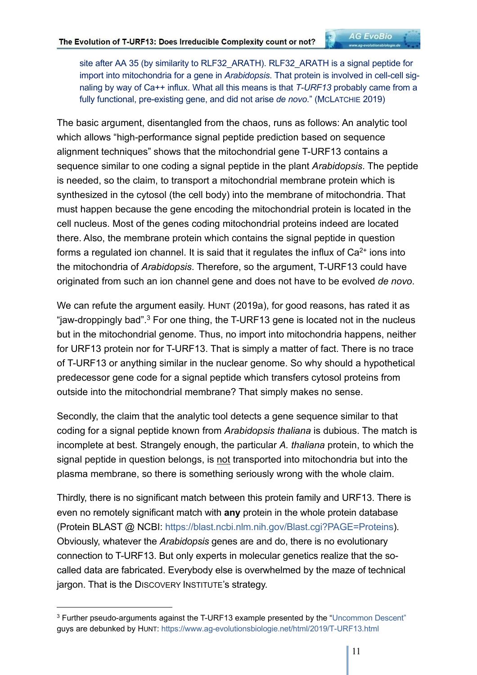site after AA 35 (by similarity to RLF32\_ARATH). RLF32\_ARATH is a signal peptide for import into mitochondria for a gene in *Arabidopsis*. That protein is involved in cell-cell signaling by way of Ca++ influx. What all this means is that *T-URF13* probably came from a fully functional, pre-existing gene, and did not arise *de novo*." (MCLATCHIE 2019)

**AG EvoBio** 

The basic argument, disentangled from the chaos, runs as follows: An analytic tool which allows "high-performance signal peptide prediction based on sequence alignment techniques" shows that the mitochondrial gene T-URF13 contains a sequence similar to one coding a signal peptide in the plant *Arabidopsis*. The peptide is needed, so the claim, to transport a mitochondrial membrane protein which is synthesized in the cytosol (the cell body) into the membrane of mitochondria. That must happen because the gene encoding the mitochondrial protein is located in the cell nucleus. Most of the genes coding mitochondrial proteins indeed are located there. Also, the membrane protein which contains the signal peptide in question forms a regulated ion channel. It is said that it regulates the influx of  $Ca<sup>2+</sup>$  ions into the mitochondria of *Arabidopsis*. Therefore, so the argument, T-URF13 could have originated from such an ion channel gene and does not have to be evolved *de novo*.

We can refute the argument easily. HUNT (2019a), for good reasons, has rated it as "jaw-droppingly bad".<sup>3</sup> For one thing, the T-URF13 gene is located not in the nucleus but in the mitochondrial genome. Thus, no import into mitochondria happens, neither for URF13 protein nor for T-URF13. That is simply a matter of fact. There is no trace of T-URF13 or anything similar in the nuclear genome. So why should a hypothetical predecessor gene code for a signal peptide which transfers cytosol proteins from outside into the mitochondrial membrane? That simply makes no sense.

Secondly, the claim that the analytic tool detects a gene sequence similar to that coding for a signal peptide known from *Arabidopsis thaliana* is dubious. The match is incomplete at best. Strangely enough, the particular *A. thaliana* protein, to which the signal peptide in question belongs, is not transported into mitochondria but into the plasma membrane, so there is something seriously wrong with the whole claim.

Thirdly, there is no significant match between this protein family and URF13. There is even no remotely significant match with **any** protein in the whole protein database (Protein BLAST @ NCBI: https://blast.ncbi.nlm.nih.gov/Blast.cgi?PAGE=Proteins). Obviously, whatever the *Arabidopsis* genes are and do, there is no evolutionary connection to T-URF13. But only experts in molecular genetics realize that the socalled data are fabricated. Everybody else is overwhelmed by the maze of technical jargon. That is the DISCOVERY INSTITUTE's strategy.

 $^3$  Further pseudo-arguments against the T-URF13 example presented by the "Uncommon Descent"  $\,$ guys are debunked by HUNT: https://www.ag-evolutionsbiologie.net/html/2019/T-URF13.html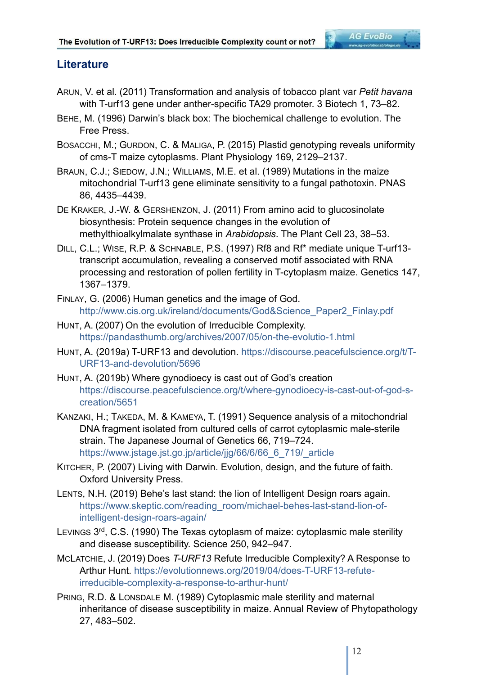#### **Literature**

- ARUN, V. et al. (2011) Transformation and analysis of tobacco plant var *Petit havana* with T-urf13 gene under anther-specific TA29 promoter. 3 Biotech 1, 73–82.
- BEHE, M. (1996) Darwin's black box: The biochemical challenge to evolution. The Free Press.
- BOSACCHI, M.; GURDON, C. & MALIGA, P. (2015) Plastid genotyping reveals uniformity of cms-T maize cytoplasms. Plant Physiology 169, 2129–2137.
- BRAUN, C.J.; SIEDOW, J.N.; WILLIAMS, M.E. et al. (1989) Mutations in the maize mitochondrial T-urf13 gene eliminate sensitivity to a fungal pathotoxin. PNAS 86, 4435–4439.
- DE KRAKER, J.-W. & GERSHENZON, J. (2011) From amino acid to glucosinolate biosynthesis: Protein sequence changes in the evolution of methylthioalkylmalate synthase in *Arabidopsis*. The Plant Cell 23, 38–53.
- DILL, C.L.; WISE, R.P. & SCHNABLE, P.S. (1997) Rf8 and Rf\* mediate unique T-urf13 transcript accumulation, revealing a conserved motif associated with RNA processing and restoration of pollen fertility in T-cytoplasm maize. Genetics 147, 1367–1379.
- FINLAY, G. (2006) Human genetics and the image of God. http://www.cis.org.uk/ireland/documents/God&Science\_Paper2\_Finlay.pdf
- HUNT, A. (2007) On the evolution of Irreducible Complexity. https://pandasthumb.org/archives/2007/05/on-the-evolutio-1.html
- HUNT, A. (2019a) T-URF13 and devolution. https://discourse.peacefulscience.org/t/T-URF13-and-devolution/5696
- HUNT, A. (2019b) Where gynodioecy is cast out of God's creation https://discourse.peacefulscience.org/t/where-gynodioecy-is-cast-out-of-god-screation/5651
- KANZAKI, H.; TAKEDA, M. & KAMEYA, T. (1991) Sequence analysis of a mitochondrial DNA fragment isolated from cultured cells of carrot cytoplasmic male-sterile strain. The Japanese Journal of Genetics 66, 719–724. https://www.jstage.jst.go.jp/article/jjg/66/6/66\_6\_719/\_article
- KITCHER, P. (2007) Living with Darwin. Evolution, design, and the future of faith. Oxford University Press.
- LENTS, N.H. (2019) Behe's last stand: the lion of Intelligent Design roars again. https://www.skeptic.com/reading\_room/michael-behes-last-stand-lion-ofintelligent-design-roars-again/
- LEVINGS 3<sup>rd</sup>, C.S. (1990) The Texas cytoplasm of maize: cytoplasmic male sterility and disease susceptibility. Science 250, 942–947.
- MCLATCHIE, J. (2019) Does *T-URF13* Refute Irreducible Complexity? A Response to Arthur Hunt. https://evolutionnews.org/2019/04/does-T-URF13-refuteirreducible-complexity-a-response-to-arthur-hunt/
- PRING, R.D. & LONSDALE M. (1989) Cytoplasmic male sterility and maternal inheritance of disease susceptibility in maize. Annual Review of Phytopathology 27, 483–502.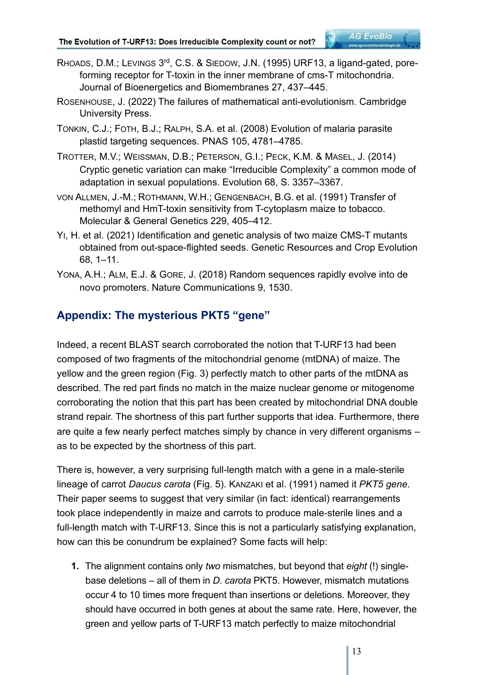ROSENHOUSE, J. (2022) The failures of mathematical anti-evolutionism. Cambridge University Press.

TONKIN, C.J.; FOTH, B.J.; RALPH, S.A. et al. (2008) Evolution of malaria parasite plastid targeting sequences. PNAS 105, 4781–4785.

- TROTTER, M.V.; WEISSMAN, D.B.; PETERSON, G.I.; PECK, K.M. & MASEL, J. (2014) Cryptic genetic variation can make "Irreducible Complexity" a common mode of adaptation in sexual populations. Evolution 68, S. 3357–3367.
- VON ALLMEN, J.-M.; ROTHMANN, W.H.; GENGENBACH, B.G. et al. (1991) Transfer of methomyl and HmT-toxin sensitivity from T-cytoplasm maize to tobacco. Molecular & General Genetics 229, 405–412.
- YI, H. et al. (2021) Identification and genetic analysis of two maize CMS-T mutants obtained from out-space-flighted seeds. Genetic Resources and Crop Evolution 68, 1–11.
- YONA, A.H.; ALM, E.J. & GORE, J. (2018) Random sequences rapidly evolve into de novo promoters. Nature Communications 9, 1530.

# **Appendix: The mysterious PKT5 "gene"**

Indeed, a recent BLAST search corroborated the notion that T-URF13 had been composed of two fragments of the mitochondrial genome (mtDNA) of maize. The yellow and the green region (Fig. 3) perfectly match to other parts of the mtDNA as described. The red part finds no match in the maize nuclear genome or mitogenome corroborating the notion that this part has been created by mitochondrial DNA double strand repair. The shortness of this part further supports that idea. Furthermore, there are quite a few nearly perfect matches simply by chance in very different organisms – as to be expected by the shortness of this part.

There is, however, a very surprising full-length match with a gene in a male-sterile lineage of carrot *Daucus carota* (Fig. 5). KANZAKI et al. (1991) named it *PKT5 gene*. Their paper seems to suggest that very similar (in fact: identical) rearrangements took place independently in maize and carrots to produce male-sterile lines and a full-length match with T-URF13. Since this is not a particularly satisfying explanation, how can this be conundrum be explained? Some facts will help:

**1.** The alignment contains only *two* mismatches, but beyond that *eight* (!) singlebase deletions – all of them in *D. carota* PKT5. However, mismatch mutations occur 4 to 10 times more frequent than insertions or deletions. Moreover, they should have occurred in both genes at about the same rate. Here, however, the green and yellow parts of T-URF13 match perfectly to maize mitochondrial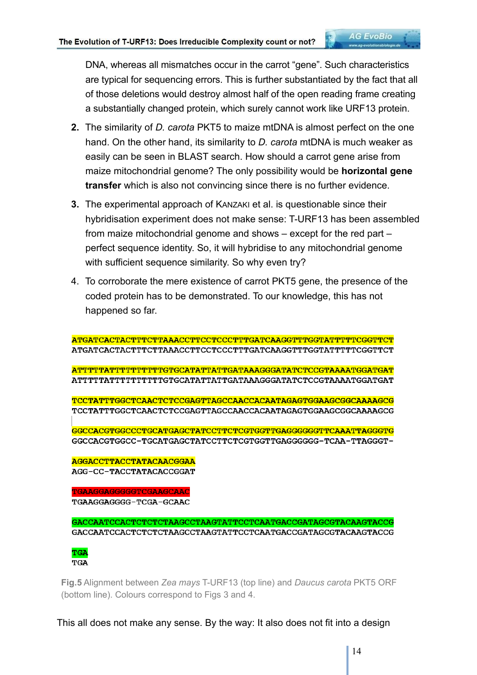DNA, whereas all mismatches occur in the carrot "gene". Such characteristics are typical for sequencing errors. This is further substantiated by the fact that all of those deletions would destroy almost half of the open reading frame creating a substantially changed protein, which surely cannot work like URF13 protein.

- **2.** The similarity of *D. carota* PKT5 to maize mtDNA is almost perfect on the one hand. On the other hand, its similarity to *D. carota* mtDNA is much weaker as easily can be seen in BLAST search. How should a carrot gene arise from maize mitochondrial genome? The only possibility would be **horizontal gene transfer** which is also not convincing since there is no further evidence.
- **3.** The experimental approach of KANZAKI et al. is questionable since their hybridisation experiment does not make sense: T-URF13 has been assembled from maize mitochondrial genome and shows – except for the red part – perfect sequence identity. So, it will hybridise to any mitochondrial genome with sufficient sequence similarity. So why even try?
- 4. To corroborate the mere existence of carrot PKT5 gene, the presence of the coded protein has to be demonstrated. To our knowledge, this has not happened so far.

ATGATCACTACTTTCTTAAACCTTCCTCCCTTTGATCAAGGTTTGGTATTTTCGGTTCG ATGATCACTACTTTCTTAAACCTTCCTCCCTTTGATCAAGGTTTGGTATTTTCGGTTCT **ATTTTTATTTTTTTTTTGTGCATATTATTGATAAAGGGATATCTCCGTAAAATGGATGAT** ATTTTTATTTTTTTTTTGTGCATATTATTGATAAAGGGATATCTCCGTAAAATGGATGAT TCCTATTTGGCTCAACTCTCCGAGTTAGCCAACCACAATAGAGTGGAAGCGGCAAAAGCG TCCTATTTGGCTCAACTCTCCGAGTTAGCCAACCACAATAGAGTGGAAGCGGCAAAAGCG GGCCACGTGGCCCTGCATGAGCTATCCTTCTCGTGGTTGAGGGGGGTTCAAATTAGGGTG GGCCACGTGGCC-TGCATGAGCTATCCTTCTCGTGGTTGAGGGGGG-TCAA-TTAGGGT-**AGGACCTTACCTATACAACGGAA** 

AGG-CC-TACCTATACACCGGAT

TGAAGGAGGGGGTCGAAGCAAC TGAAGGAGGGG-TCGA-GCAAC

GACCAATCCACTCTCTCTAAGCCTAAGTATTCCTCAATGACCGATAGCGTACAAGTACCG GACCAATCCACTCTCTCTAAGCCTAAGTATTCCTCAATGACCGATAGCGTACAAGTACCG



**Fig.5** Alignment between *Zea mays* T-URF13 (top line) and *Daucus carota* PKT5 ORF (bottom line). Colours correspond to Figs 3 and 4.

This all does not make any sense. By the way: It also does not fit into a design